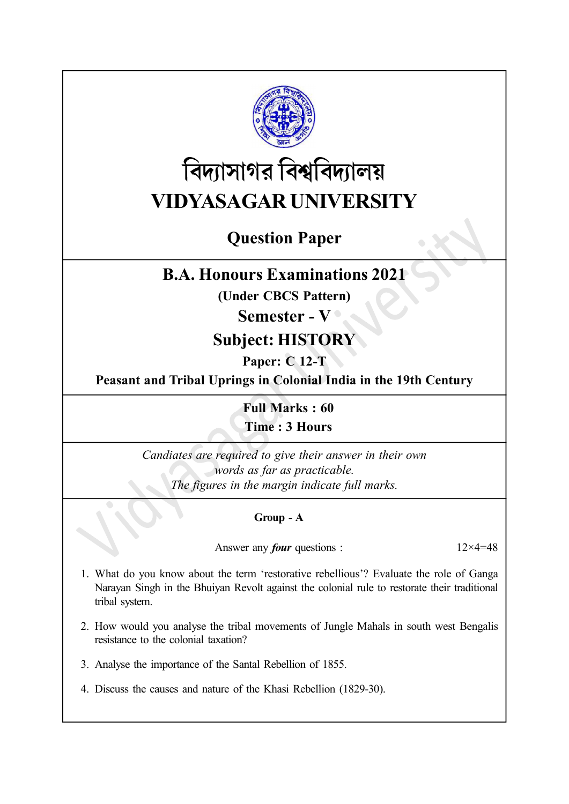

# বিদ্যাসাগর বিশ্ববিদ্যালয় VIDYASAGAR UNIVERSITY

# Question Paper

### B.A. Honours Examinations 2021

(Under CBCS Pattern)

#### Semester - V

## Subject: HISTORY

### Paper: C 12-T

Peasant and Tribal Uprings in Colonial India in the 19th Century

Full Marks : 60 Time : 3 Hours

Candiates are required to give their answer in their own words as far as practicable. The figures in the margin indicate full marks.

#### Group - A

Answer any *four* questions :  $12 \times 4 = 48$ 

- 1. What do you know about the term 'restorative rebellious'? Evaluate the role of Ganga Narayan Singh in the Bhuiyan Revolt against the colonial rule to restorate their traditional tribal system.
- 2. How would you analyse the tribal movements of Jungle Mahals in south west Bengalis resistance to the colonial taxation?
- 3. Analyse the importance of the Santal Rebellion of 1855.
- 4. Discuss the causes and nature of the Khasi Rebellion (1829-30).